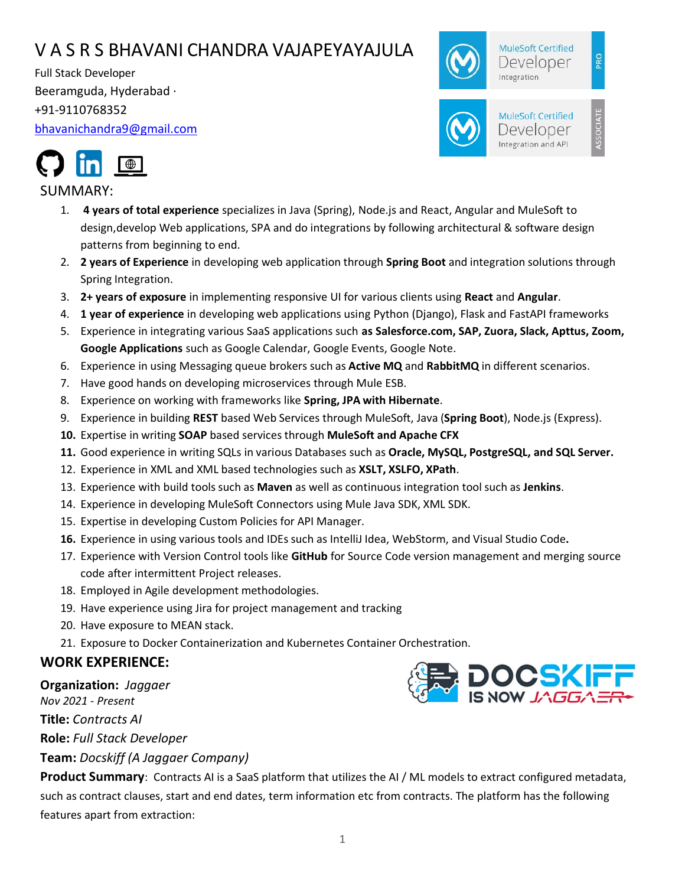# V A S R S BHAVANI CHANDRA VAJAPEYAYAJULA

Full Stack Developer Beeramguda, Hyderabad · +91-9110768352 [bhavanichandra9@gmail.com](mailto:bhavanichandra9@gmail.com)





# SUMMARY:

- 1. **4 years of total experience** specializes in Java (Spring), Node.js and React, Angular and MuleSoft to design,develop Web applications, SPA and do integrations by following architectural & software design patterns from beginning to end.
- 2. **2 years of Experience** in developing web application through **Spring Boot** and integration solutions through Spring Integration.
- 3. **2+ years of exposure** in implementing responsive UI for various clients using **React** and **Angular**.
- 4. **1 year of experience** in developing web applications using Python (Django), Flask and FastAPI frameworks
- 5. Experience in integrating various SaaS applications such **as Salesforce.com, SAP, Zuora, Slack, Apttus, Zoom, Google Applications** such as Google Calendar, Google Events, Google Note.
- 6. Experience in using Messaging queue brokers such as **Active MQ** and **RabbitMQ** in different scenarios.
- 7. Have good hands on developing microservices through Mule ESB.
- 8. Experience on working with frameworks like **Spring, JPA with Hibernate**.
- 9. Experience in building **REST** based Web Services through MuleSoft, Java (**Spring Boot**), Node.js (Express).
- **10.** Expertise in writing **SOAP** based services through **MuleSoft and Apache CFX**
- **11.** Good experience in writing SQLs in various Databases such as **Oracle, MySQL, PostgreSQL, and SQL Server.**
- 12. Experience in XML and XML based technologies such as **XSLT, XSLFO, XPath**.
- 13. Experience with build tools such as **Maven** as well as continuous integration tool such as **Jenkins**.
- 14. Experience in developing MuleSoft Connectors using Mule Java SDK, XML SDK.
- 15. Expertise in developing Custom Policies for API Manager.
- **16.** Experience in using various tools and IDEs such as IntelliJ Idea, WebStorm, and Visual Studio Code**.**
- 17. Experience with Version Control tools like **GitHub** for Source Code version management and merging source code after intermittent Project releases.
- 18. Employed in Agile development methodologies.
- 19. Have experience using Jira for project management and tracking
- 20. Have exposure to MEAN stack.
- 21. Exposure to Docker Containerization and Kubernetes Container Orchestration.

# **WORK EXPERIENCE:**

#### **Organization:** *Jaggaer*

*Nov 2021 - Present*

**Title:** *Contracts AI*

**Role:** *Full Stack Developer*

**Team:** *Docskiff (A Jaggaer Company)*

**DC<mark>S</mark>KIF** 

**Product Summary**:Contracts AI is a SaaS platform that utilizes the AI / ML models to extract configured metadata, such as contract clauses, start and end dates, term information etc from contracts. The platform has the following features apart from extraction: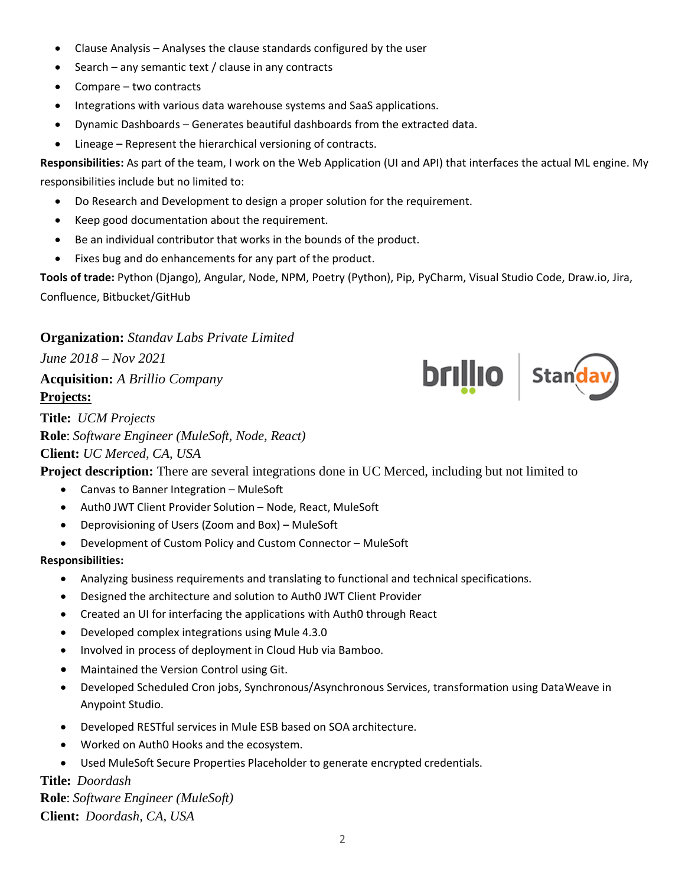- Clause Analysis Analyses the clause standards configured by the user
- Search any semantic text / clause in any contracts
- Compare two contracts
- Integrations with various data warehouse systems and SaaS applications.
- Dynamic Dashboards Generates beautiful dashboards from the extracted data.
- Lineage Represent the hierarchical versioning of contracts.

**Responsibilities:** As part of the team, I work on the Web Application (UI and API) that interfaces the actual ML engine. My responsibilities include but no limited to:

- Do Research and Development to design a proper solution for the requirement.
- Keep good documentation about the requirement.
- Be an individual contributor that works in the bounds of the product.
- Fixes bug and do enhancements for any part of the product.

**Tools of trade:** Python (Django), Angular, Node, NPM, Poetry (Python), Pip, PyCharm, Visual Studio Code, Draw.io, Jira, Confluence, Bitbucket/GitHub

**brillio** | Standav

# **Organization:** *Standav Labs Private Limited*

*June 2018 – Nov 2021*

**Acquisition:** *A Brillio Company* **Projects:**

**Title:** *UCM Projects* **Role**: *Software Engineer (MuleSoft, Node, React)* **Client:** *UC Merced, CA, USA*

**Project description:** There are several integrations done in UC Merced, including but not limited to

- Canvas to Banner Integration MuleSoft
- Auth0 JWT Client Provider Solution Node, React, MuleSoft
- Deprovisioning of Users (Zoom and Box) MuleSoft
- Development of Custom Policy and Custom Connector MuleSoft

# **Responsibilities:**

- Analyzing business requirements and translating to functional and technical specifications.
- Designed the architecture and solution to Auth0 JWT Client Provider
- Created an UI for interfacing the applications with Auth0 through React
- Developed complex integrations using Mule 4.3.0
- Involved in process of deployment in Cloud Hub via Bamboo.
- Maintained the Version Control using Git.
- Developed Scheduled Cron jobs, Synchronous/Asynchronous Services, transformation using DataWeave in Anypoint Studio.
- Developed RESTful services in Mule ESB based on SOA architecture.
- Worked on Auth0 Hooks and the ecosystem.
- Used MuleSoft Secure Properties Placeholder to generate encrypted credentials.

# **Title:** *Doordash*

**Role**: *Software Engineer (MuleSoft)* **Client:** *Doordash, CA, USA*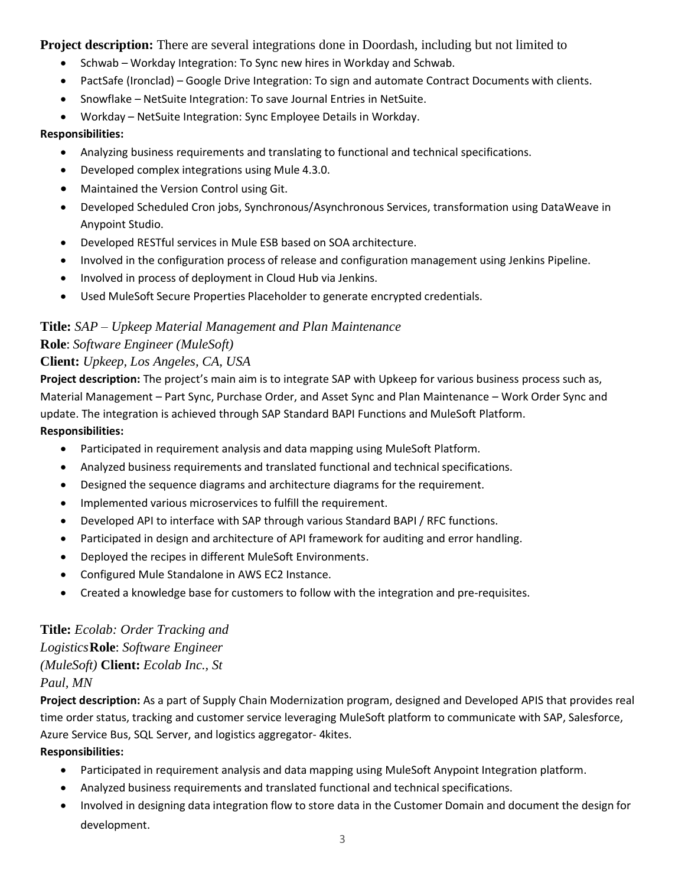**Project description:** There are several integrations done in Doordash, including but not limited to

- Schwab Workday Integration: To Sync new hires in Workday and Schwab.
- PactSafe (Ironclad) Google Drive Integration: To sign and automate Contract Documents with clients.
- Snowflake NetSuite Integration: To save Journal Entries in NetSuite.
- Workday NetSuite Integration: Sync Employee Details in Workday.

#### **Responsibilities:**

- Analyzing business requirements and translating to functional and technical specifications.
- Developed complex integrations using Mule 4.3.0.
- Maintained the Version Control using Git.
- Developed Scheduled Cron jobs, Synchronous/Asynchronous Services, transformation using DataWeave in Anypoint Studio.
- Developed RESTful services in Mule ESB based on SOA architecture.
- Involved in the configuration process of release and configuration management using Jenkins Pipeline.
- Involved in process of deployment in Cloud Hub via Jenkins.
- Used MuleSoft Secure Properties Placeholder to generate encrypted credentials.

# **Title:** *SAP – Upkeep Material Management and Plan Maintenance* **Role**: *Software Engineer (MuleSoft)*

# **Client:** *Upkeep, Los Angeles, CA, USA*

**Project description:** The project's main aim is to integrate SAP with Upkeep for various business process such as, Material Management – Part Sync, Purchase Order, and Asset Sync and Plan Maintenance – Work Order Sync and update. The integration is achieved through SAP Standard BAPI Functions and MuleSoft Platform. **Responsibilities:**

- Participated in requirement analysis and data mapping using MuleSoft Platform.
- Analyzed business requirements and translated functional and technical specifications.
- Designed the sequence diagrams and architecture diagrams for the requirement.
- Implemented various microservices to fulfill the requirement.
- Developed API to interface with SAP through various Standard BAPI / RFC functions.
- Participated in design and architecture of API framework for auditing and error handling.
- Deployed the recipes in different MuleSoft Environments.
- Configured Mule Standalone in AWS EC2 Instance.
- Created a knowledge base for customers to follow with the integration and pre-requisites.

# **Title:** *Ecolab: Order Tracking and Logistics***Role**: *Software Engineer (MuleSoft)* **Client:** *Ecolab Inc., St Paul, MN*

**Project description:** As a part of Supply Chain Modernization program, designed and Developed APIS that provides real time order status, tracking and customer service leveraging MuleSoft platform to communicate with SAP, Salesforce, Azure Service Bus, SQL Server, and logistics aggregator- 4kites.

# **Responsibilities:**

- Participated in requirement analysis and data mapping using MuleSoft Anypoint Integration platform.
- Analyzed business requirements and translated functional and technical specifications.
- Involved in designing data integration flow to store data in the Customer Domain and document the design for development.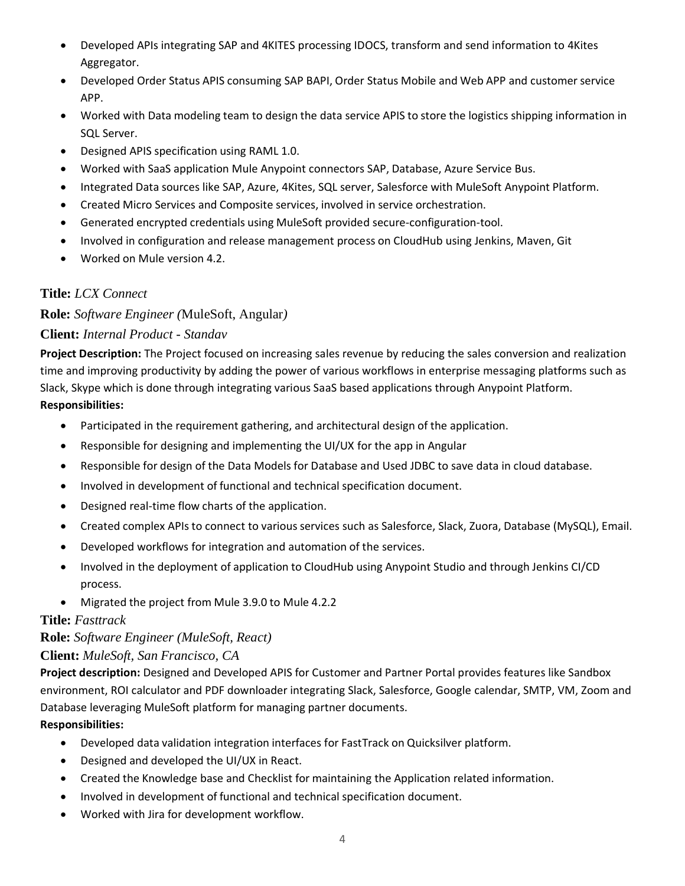- Developed APIs integrating SAP and 4KITES processing IDOCS, transform and send information to 4Kites Aggregator.
- Developed Order Status APIS consuming SAP BAPI, Order Status Mobile and Web APP and customer service APP.
- Worked with Data modeling team to design the data service APIS to store the logistics shipping information in SQL Server.
- Designed APIS specification using RAML 1.0.
- Worked with SaaS application Mule Anypoint connectors SAP, Database, Azure Service Bus.
- Integrated Data sources like SAP, Azure, 4Kites, SQL server, Salesforce with MuleSoft Anypoint Platform.
- Created Micro Services and Composite services, involved in service orchestration.
- Generated encrypted credentials using MuleSoft provided secure-configuration-tool.
- Involved in configuration and release management process on CloudHub using Jenkins, Maven, Git
- Worked on Mule version 4.2.

# **Title:** *LCX Connect*

**Role:** *Software Engineer (*MuleSoft, Angular*)*

# **Client:** *Internal Product - Standav*

**Project Description:** The Project focused on increasing sales revenue by reducing the sales conversion and realization time and improving productivity by adding the power of various workflows in enterprise messaging platforms such as Slack, Skype which is done through integrating various SaaS based applications through Anypoint Platform. **Responsibilities:**

- Participated in the requirement gathering, and architectural design of the application.
- Responsible for designing and implementing the UI/UX for the app in Angular
- Responsible for design of the Data Models for Database and Used JDBC to save data in cloud database.
- Involved in development of functional and technical specification document.
- Designed real-time flow charts of the application.
- Created complex APIs to connect to various services such as Salesforce, Slack, Zuora, Database (MySQL), Email.
- Developed workflows for integration and automation of the services.
- Involved in the deployment of application to CloudHub using Anypoint Studio and through Jenkins CI/CD process.
- Migrated the project from Mule 3.9.0 to Mule 4.2.2

# **Title:** *Fasttrack*

**Role:** *Software Engineer (MuleSoft, React)*

# **Client:** *MuleSoft, San Francisco, CA*

**Project description:** Designed and Developed APIS for Customer and Partner Portal provides features like Sandbox environment, ROI calculator and PDF downloader integrating Slack, Salesforce, Google calendar, SMTP, VM, Zoom and Database leveraging MuleSoft platform for managing partner documents.

# **Responsibilities:**

- Developed data validation integration interfaces for FastTrack on Quicksilver platform.
- Designed and developed the UI/UX in React.
- Created the Knowledge base and Checklist for maintaining the Application related information.
- Involved in development of functional and technical specification document.
- Worked with Jira for development workflow.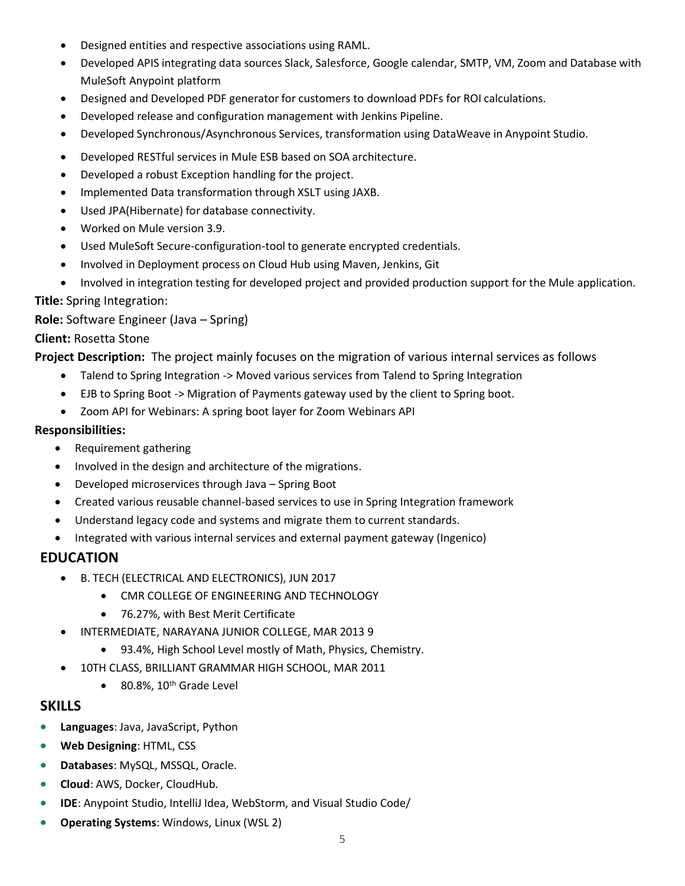- Designed entities and respective associations using RAML.
- Developed APIS integrating data sources Slack, Salesforce, Google calendar, SMTP, VM, Zoom and Database with MuleSoft Anypoint platform
- Designed and Developed PDF generator for customers to download PDFs for ROI calculations.
- Developed release and configuration management with Jenkins Pipeline.
- Developed Synchronous/Asynchronous Services, transformation using DataWeave in Anypoint Studio.
- Developed RESTful services in Mule ESB based on SOA architecture.
- Developed a robust Exception handling for the project.
- Implemented Data transformation through XSLT using JAXB.
- Used JPA(Hibernate) for database connectivity.
- Worked on Mule version 3.9.
- Used MuleSoft Secure-configuration-tool to generate encrypted credentials.
- Involved in Deployment process on Cloud Hub using Maven, Jenkins, Git
- Involved in integration testing for developed project and provided production support for the Mule application.

**Title:** Spring Integration:

**Role:** Software Engineer (Java – Spring)

#### **Client:** Rosetta Stone

**Project Description:** The project mainly focuses on the migration of various internal services as follows

- Talend to Spring Integration -> Moved various services from Talend to Spring Integration
- EJB to Spring Boot -> Migration of Payments gateway used by the client to Spring boot.
- Zoom API for Webinars: A spring boot layer for Zoom Webinars API

#### **Responsibilities:**

- Requirement gathering
- Involved in the design and architecture of the migrations.
- Developed microservices through Java Spring Boot
- Created various reusable channel-based services to use in Spring Integration framework
- Understand legacy code and systems and migrate them to current standards.
- Integrated with various internal services and external payment gateway (Ingenico)

# **EDUCATION**

- B. TECH (ELECTRICAL AND ELECTRONICS), JUN 2017
	- CMR COLLEGE OF ENGINEERING AND TECHNOLOGY
	- 76.27%, with Best Merit Certificate
- INTERMEDIATE, NARAYANA JUNIOR COLLEGE, MAR 2013 9
	- 93.4%, High School Level mostly of Math, Physics, Chemistry.
- 10TH CLASS, BRILLIANT GRAMMAR HIGH SCHOOL, MAR 2011
	- $\bullet$  80.8%, 10<sup>th</sup> Grade Level

# **SKILLS**

- **Languages**: Java, JavaScript, Python
- **Web Designing**: HTML, CSS
- **Databases**: MySQL, MSSQL, Oracle.
- **Cloud**: AWS, Docker, CloudHub.
- **IDE**: Anypoint Studio, IntelliJ Idea, WebStorm, and Visual Studio Code/
- **Operating Systems**: Windows, Linux (WSL 2)